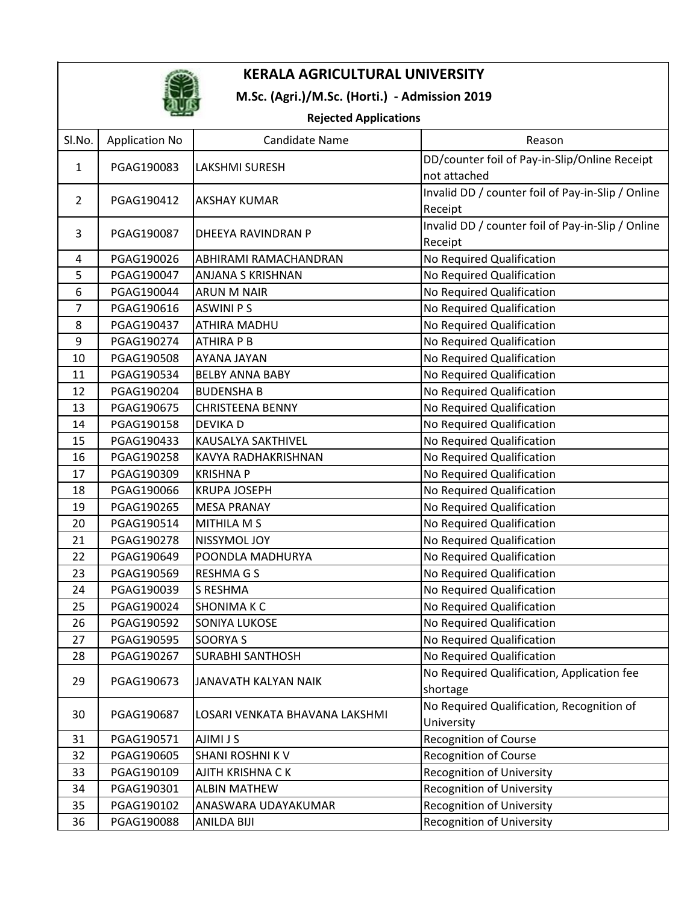

## M.Sc. (Agri.)/M.Sc. (Horti.) - Admission 2019

### Rejected Applications

|                |                       | <u>Rejected Applications</u>   |                                                   |
|----------------|-----------------------|--------------------------------|---------------------------------------------------|
| Sl.No.         | <b>Application No</b> | <b>Candidate Name</b>          | Reason                                            |
| $\mathbf{1}$   | PGAG190083            | <b>LAKSHMI SURESH</b>          | DD/counter foil of Pay-in-Slip/Online Receipt     |
|                |                       |                                | not attached                                      |
| $\overline{2}$ | PGAG190412            | <b>AKSHAY KUMAR</b>            | Invalid DD / counter foil of Pay-in-Slip / Online |
|                |                       |                                | Receipt                                           |
| 3              | PGAG190087            | DHEEYA RAVINDRAN P             | Invalid DD / counter foil of Pay-in-Slip / Online |
|                |                       |                                | Receipt                                           |
| 4              | PGAG190026            | ABHIRAMI RAMACHANDRAN          | No Required Qualification                         |
| 5              | PGAG190047            | <b>ANJANA S KRISHNAN</b>       | No Required Qualification                         |
| 6              | PGAG190044            | <b>ARUN M NAIR</b>             | No Required Qualification                         |
| 7              | PGAG190616            | <b>ASWINI PS</b>               | No Required Qualification                         |
| 8              | PGAG190437            | <b>ATHIRA MADHU</b>            | No Required Qualification                         |
| $9\,$          | PGAG190274            | ATHIRA P B                     | No Required Qualification                         |
| 10             | PGAG190508            | AYANA JAYAN                    | No Required Qualification                         |
| 11             | PGAG190534            | <b>BELBY ANNA BABY</b>         | No Required Qualification                         |
| 12             | PGAG190204            | <b>BUDENSHAB</b>               | No Required Qualification                         |
| 13             | PGAG190675            | <b>CHRISTEENA BENNY</b>        | No Required Qualification                         |
| 14             | PGAG190158            | <b>DEVIKA D</b>                | No Required Qualification                         |
| 15             | PGAG190433            | <b>KAUSALYA SAKTHIVEL</b>      | No Required Qualification                         |
| 16             | PGAG190258            | KAVYA RADHAKRISHNAN            | No Required Qualification                         |
| 17             | PGAG190309            | <b>KRISHNAP</b>                | No Required Qualification                         |
| 18             | PGAG190066            | <b>KRUPA JOSEPH</b>            | No Required Qualification                         |
| 19             | PGAG190265            | <b>MESA PRANAY</b>             | No Required Qualification                         |
| 20             | PGAG190514            | <b>MITHILA M S</b>             | No Required Qualification                         |
| 21             | PGAG190278            | NISSYMOL JOY                   | No Required Qualification                         |
| 22             | PGAG190649            | POONDLA MADHURYA               | No Required Qualification                         |
| 23             | PGAG190569            | <b>RESHMAGS</b>                | No Required Qualification                         |
| 24             | PGAG190039            | <b>S RESHMA</b>                | No Required Qualification                         |
| 25             | PGAG190024            | <b>SHONIMAKC</b>               | No Required Qualification                         |
| 26             | PGAG190592            | SONIYA LUKOSE                  | No Required Qualification                         |
| 27             | PGAG190595            | <b>SOORYA S</b>                | No Required Qualification                         |
| 28             | PGAG190267            | <b>SURABHI SANTHOSH</b>        | No Required Qualification                         |
|                | PGAG190673            | JANAVATH KALYAN NAIK           | No Required Qualification, Application fee        |
| 29             |                       |                                | shortage                                          |
|                | PGAG190687            | LOSARI VENKATA BHAVANA LAKSHMI | No Required Qualification, Recognition of         |
| 30             |                       |                                | University                                        |
| 31             | PGAG190571            | <b>AJIMI J S</b>               | <b>Recognition of Course</b>                      |
| 32             | PGAG190605            | <b>SHANI ROSHNI K V</b>        | <b>Recognition of Course</b>                      |
| 33             | PGAG190109            | AJITH KRISHNA C K              | <b>Recognition of University</b>                  |
| 34             | PGAG190301            | <b>ALBIN MATHEW</b>            | Recognition of University                         |
| 35             | PGAG190102            | ANASWARA UDAYAKUMAR            | Recognition of University                         |
| 36             | PGAG190088            | ANILDA BIJI                    | <b>Recognition of University</b>                  |
|                |                       |                                |                                                   |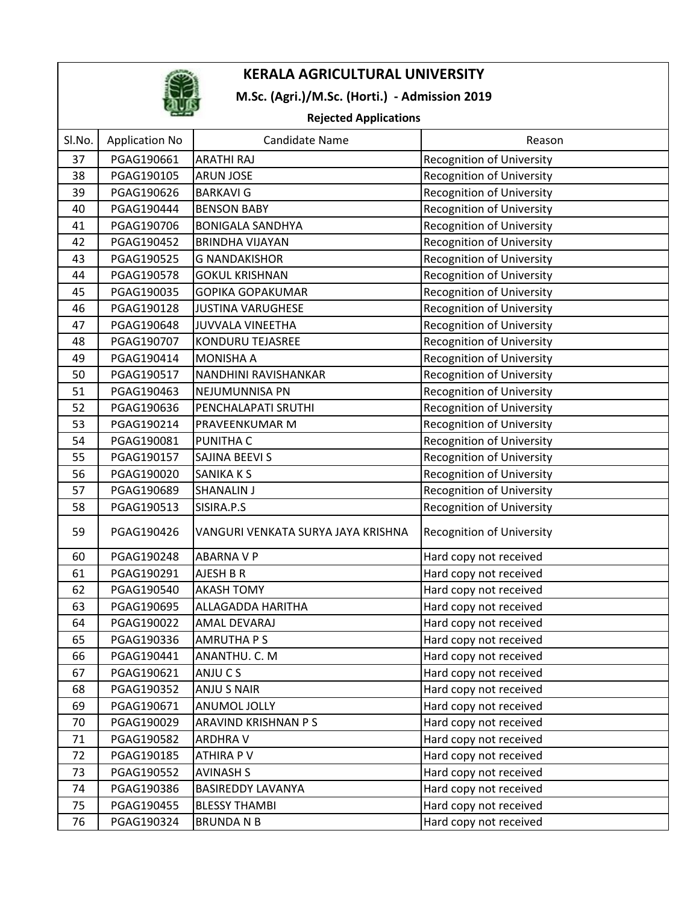

## M.Sc. (Agri.)/M.Sc. (Horti.) - Admission 2019

### Rejected Applications

| nejecteu Applications |                       |                                    |                                  |  |  |
|-----------------------|-----------------------|------------------------------------|----------------------------------|--|--|
| SI.No.                | <b>Application No</b> | <b>Candidate Name</b>              | Reason                           |  |  |
| 37                    | PGAG190661            | <b>ARATHI RAJ</b>                  | Recognition of University        |  |  |
| 38                    | PGAG190105            | <b>ARUN JOSE</b>                   | <b>Recognition of University</b> |  |  |
| 39                    | PGAG190626            | <b>BARKAVI G</b>                   | <b>Recognition of University</b> |  |  |
| 40                    | PGAG190444            | <b>BENSON BABY</b>                 | <b>Recognition of University</b> |  |  |
| 41                    | PGAG190706            | <b>BONIGALA SANDHYA</b>            | <b>Recognition of University</b> |  |  |
| 42                    | PGAG190452            | <b>BRINDHA VIJAYAN</b>             | <b>Recognition of University</b> |  |  |
| 43                    | PGAG190525            | <b>G NANDAKISHOR</b>               | <b>Recognition of University</b> |  |  |
| 44                    | PGAG190578            | <b>GOKUL KRISHNAN</b>              | <b>Recognition of University</b> |  |  |
| 45                    | PGAG190035            | GOPIKA GOPAKUMAR                   | Recognition of University        |  |  |
| 46                    | PGAG190128            | <b>JUSTINA VARUGHESE</b>           | <b>Recognition of University</b> |  |  |
| 47                    | PGAG190648            | <b>JUVVALA VINEETHA</b>            | <b>Recognition of University</b> |  |  |
| 48                    | PGAG190707            | KONDURU TEJASREE                   | <b>Recognition of University</b> |  |  |
| 49                    | PGAG190414            | <b>MONISHA A</b>                   | <b>Recognition of University</b> |  |  |
| 50                    | PGAG190517            | NANDHINI RAVISHANKAR               | <b>Recognition of University</b> |  |  |
| 51                    | PGAG190463            | NEJUMUNNISA PN                     | <b>Recognition of University</b> |  |  |
| 52                    | PGAG190636            | PENCHALAPATI SRUTHI                | <b>Recognition of University</b> |  |  |
| 53                    | PGAG190214            | PRAVEENKUMAR M                     | Recognition of University        |  |  |
| 54                    | PGAG190081            | <b>PUNITHA C</b>                   | <b>Recognition of University</b> |  |  |
| 55                    | PGAG190157            | SAJINA BEEVI S                     | <b>Recognition of University</b> |  |  |
| 56                    | PGAG190020            | SANIKA K S                         | <b>Recognition of University</b> |  |  |
| 57                    | PGAG190689            | <b>SHANALIN J</b>                  | <b>Recognition of University</b> |  |  |
| 58                    | PGAG190513            | SISIRA.P.S                         | <b>Recognition of University</b> |  |  |
| 59                    | PGAG190426            | VANGURI VENKATA SURYA JAYA KRISHNA | Recognition of University        |  |  |
| 60                    | PGAG190248            | <b>ABARNA V P</b>                  | Hard copy not received           |  |  |
| 61                    | PGAG190291            | AJESH B R                          | Hard copy not received           |  |  |
| 62                    | PGAG190540            | <b>AKASH TOMY</b>                  | Hard copy not received           |  |  |
| 63                    | PGAG190695            | ALLAGADDA HARITHA                  | Hard copy not received           |  |  |
| 64                    | PGAG190022            | <b>AMAL DEVARAJ</b>                | Hard copy not received           |  |  |
| 65                    | PGAG190336            | <b>AMRUTHA PS</b>                  | Hard copy not received           |  |  |
| 66                    | PGAG190441            | ANANTHU. C. M                      | Hard copy not received           |  |  |
| 67                    | PGAG190621            | ANJU C S                           | Hard copy not received           |  |  |
| 68                    | PGAG190352            | <b>ANJU S NAIR</b>                 | Hard copy not received           |  |  |
| 69                    | PGAG190671            | <b>ANUMOL JOLLY</b>                | Hard copy not received           |  |  |
| 70                    | PGAG190029            | ARAVIND KRISHNAN P S               | Hard copy not received           |  |  |
| 71                    | PGAG190582            | <b>ARDHRAV</b>                     | Hard copy not received           |  |  |
| 72                    | PGAG190185            | <b>ATHIRA PV</b>                   | Hard copy not received           |  |  |
| 73                    | PGAG190552            | <b>AVINASH S</b>                   | Hard copy not received           |  |  |
| 74                    | PGAG190386            | <b>BASIREDDY LAVANYA</b>           | Hard copy not received           |  |  |
| 75                    | PGAG190455            | <b>BLESSY THAMBI</b>               | Hard copy not received           |  |  |
| 76                    | PGAG190324            | <b>BRUNDANB</b>                    | Hard copy not received           |  |  |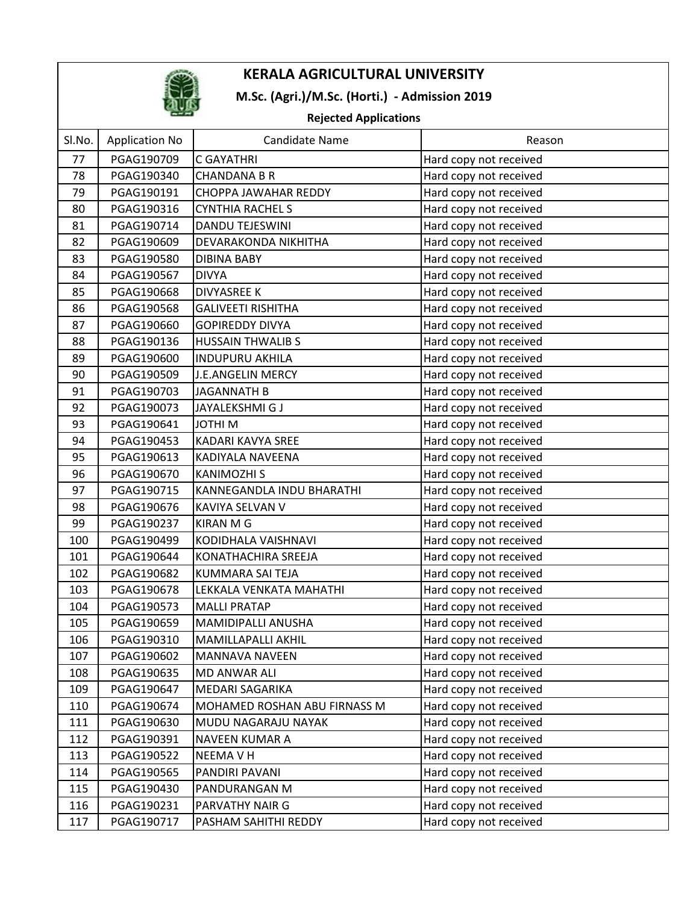

## M.Sc. (Agri.)/M.Sc. (Horti.) - Admission 2019

### Rejected Applications

| Sl.No. | <b>Application No</b> | <b>Candidate Name</b>        | Reason                 |  |  |
|--------|-----------------------|------------------------------|------------------------|--|--|
| 77     | PGAG190709            | C GAYATHRI                   | Hard copy not received |  |  |
| 78     | PGAG190340            | <b>CHANDANA B R</b>          | Hard copy not received |  |  |
| 79     | PGAG190191            | CHOPPA JAWAHAR REDDY         | Hard copy not received |  |  |
| 80     | PGAG190316            | <b>CYNTHIA RACHEL S</b>      | Hard copy not received |  |  |
| 81     | PGAG190714            | <b>DANDU TEJESWINI</b>       | Hard copy not received |  |  |
| 82     | PGAG190609            | DEVARAKONDA NIKHITHA         | Hard copy not received |  |  |
| 83     | PGAG190580            | <b>DIBINA BABY</b>           | Hard copy not received |  |  |
| 84     | PGAG190567            | <b>DIVYA</b>                 | Hard copy not received |  |  |
| 85     | PGAG190668            | <b>DIVYASREE K</b>           | Hard copy not received |  |  |
| 86     | PGAG190568            | <b>GALIVEETI RISHITHA</b>    | Hard copy not received |  |  |
| 87     | PGAG190660            | <b>GOPIREDDY DIVYA</b>       | Hard copy not received |  |  |
| 88     | PGAG190136            | <b>HUSSAIN THWALIBS</b>      | Hard copy not received |  |  |
| 89     | PGAG190600            | <b>INDUPURU AKHILA</b>       | Hard copy not received |  |  |
| 90     | PGAG190509            | <b>J.E.ANGELIN MERCY</b>     | Hard copy not received |  |  |
| 91     | PGAG190703            | <b>JAGANNATH B</b>           | Hard copy not received |  |  |
| 92     | PGAG190073            | JAYALEKSHMI G J              | Hard copy not received |  |  |
| 93     | PGAG190641            | <b>JOTHIM</b>                | Hard copy not received |  |  |
| 94     | PGAG190453            | KADARI KAVYA SREE            | Hard copy not received |  |  |
| 95     | PGAG190613            | KADIYALA NAVEENA             | Hard copy not received |  |  |
| 96     | PGAG190670            | <b>KANIMOZHI S</b>           | Hard copy not received |  |  |
| 97     | PGAG190715            | KANNEGANDLA INDU BHARATHI    | Hard copy not received |  |  |
| 98     | PGAG190676            | KAVIYA SELVAN V              | Hard copy not received |  |  |
| 99     | PGAG190237            | <b>KIRAN M G</b>             | Hard copy not received |  |  |
| 100    | PGAG190499            | KODIDHALA VAISHNAVI          | Hard copy not received |  |  |
| 101    | PGAG190644            | KONATHACHIRA SREEJA          | Hard copy not received |  |  |
| 102    | PGAG190682            | KUMMARA SAI TEJA             | Hard copy not received |  |  |
| 103    | PGAG190678            | LEKKALA VENKATA MAHATHI      | Hard copy not received |  |  |
| 104    | PGAG190573            | <b>MALLI PRATAP</b>          | Hard copy not received |  |  |
| 105    | PGAG190659            | MAMIDIPALLI ANUSHA           | Hard copy not received |  |  |
| 106    | PGAG190310            | MAMILLAPALLI AKHIL           | Hard copy not received |  |  |
| 107    | PGAG190602            | MANNAVA NAVEEN               | Hard copy not received |  |  |
| 108    | PGAG190635            | MD ANWAR ALI                 | Hard copy not received |  |  |
| 109    | PGAG190647            | MEDARI SAGARIKA              | Hard copy not received |  |  |
| 110    | PGAG190674            | MOHAMED ROSHAN ABU FIRNASS M | Hard copy not received |  |  |
| 111    | PGAG190630            | MUDU NAGARAJU NAYAK          | Hard copy not received |  |  |
| 112    | PGAG190391            | NAVEEN KUMAR A               | Hard copy not received |  |  |
| 113    | PGAG190522            | <b>NEEMAVH</b>               | Hard copy not received |  |  |
| 114    | PGAG190565            | PANDIRI PAVANI               | Hard copy not received |  |  |
| 115    | PGAG190430            | PANDURANGAN M                | Hard copy not received |  |  |
| 116    | PGAG190231            | PARVATHY NAIR G              | Hard copy not received |  |  |
| 117    | PGAG190717            | PASHAM SAHITHI REDDY         | Hard copy not received |  |  |